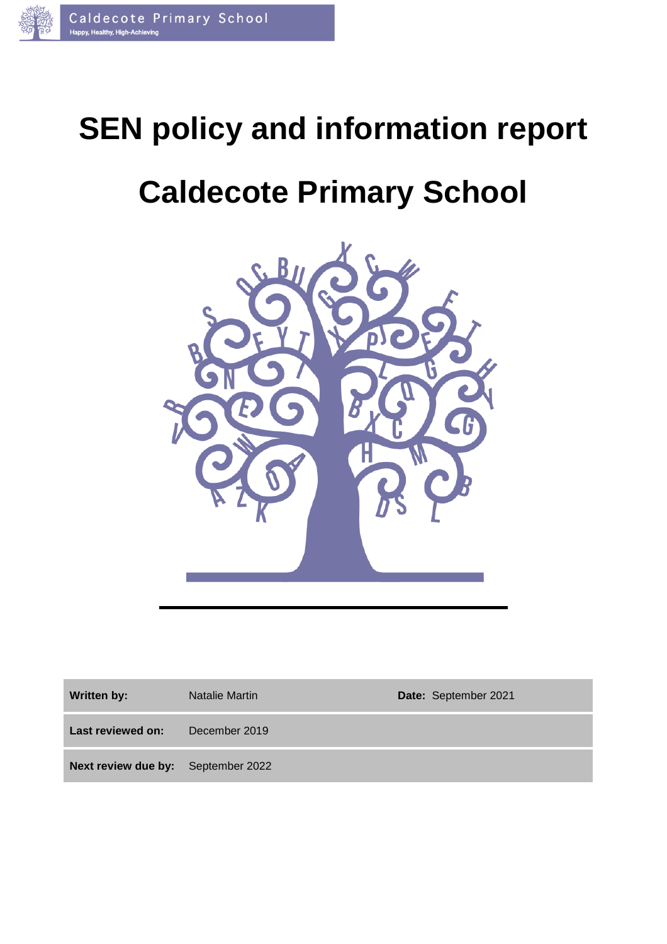

# **SEN policy and information report**

## **Caldecote Primary School**



| <b>Written by:</b>                 | Natalie Martin | Date: September 2021 |
|------------------------------------|----------------|----------------------|
| Last reviewed on:                  | December 2019  |                      |
| Next review due by: September 2022 |                |                      |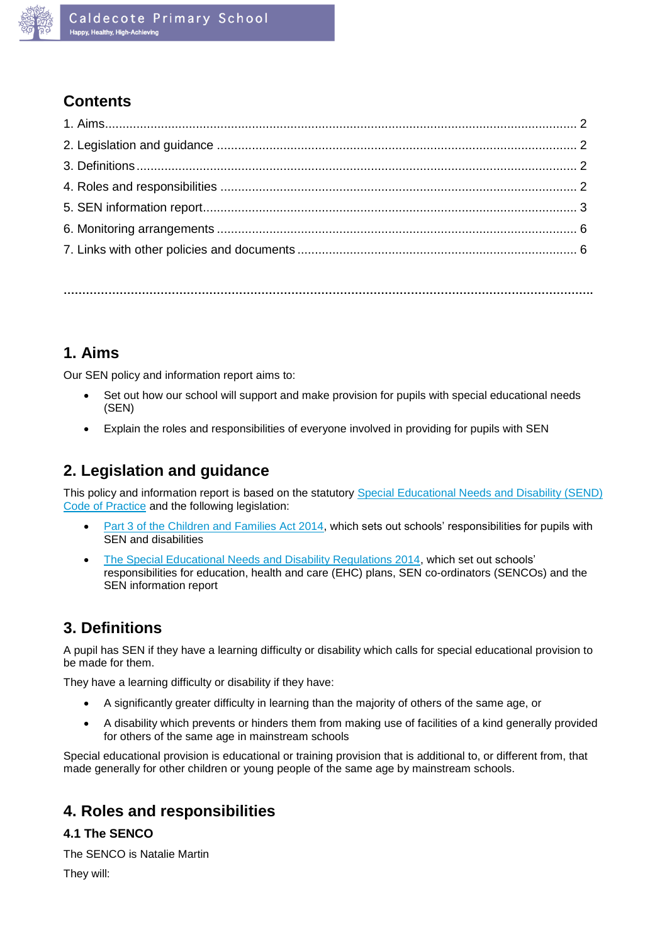

## **Contents**

**…………………………………………………………………………………………………………………………….**

## **1. Aims**

Our SEN policy and information report aims to:

- Set out how our school will support and make provision for pupils with special educational needs (SEN)
- Explain the roles and responsibilities of everyone involved in providing for pupils with SEN

## **2. Legislation and guidance**

This policy and information report is based on the statutory [Special Educational Needs and Disability \(SEND\)](https://www.gov.uk/government/uploads/system/uploads/attachment_data/file/398815/SEND_Code_of_Practice_January_2015.pdf)  [Code of Practice](https://www.gov.uk/government/uploads/system/uploads/attachment_data/file/398815/SEND_Code_of_Practice_January_2015.pdf) and the following legislation:

- [Part 3 of the Children and Families Act 2014,](http://www.legislation.gov.uk/ukpga/2014/6/part/3) which sets out schools' responsibilities for pupils with SEN and disabilities
- [The Special Educational Needs and Disability Regulations 2014,](http://www.legislation.gov.uk/uksi/2014/1530/contents/made) which set out schools' responsibilities for education, health and care (EHC) plans, SEN co-ordinators (SENCOs) and the SEN information report

## **3. Definitions**

A pupil has SEN if they have a learning difficulty or disability which calls for special educational provision to be made for them.

They have a learning difficulty or disability if they have:

- A significantly greater difficulty in learning than the majority of others of the same age, or
- A disability which prevents or hinders them from making use of facilities of a kind generally provided for others of the same age in mainstream schools

Special educational provision is educational or training provision that is additional to, or different from, that made generally for other children or young people of the same age by mainstream schools.

## **4. Roles and responsibilities**

#### **4.1 The SENCO**

The SENCO is Natalie Martin

They will: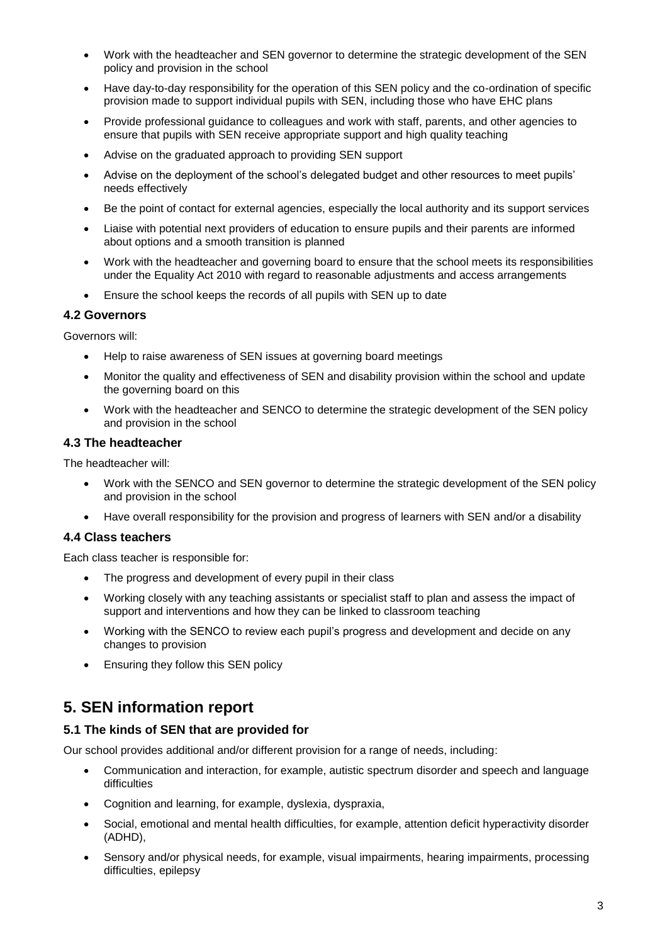- Work with the headteacher and SEN governor to determine the strategic development of the SEN policy and provision in the school
- Have day-to-day responsibility for the operation of this SEN policy and the co-ordination of specific provision made to support individual pupils with SEN, including those who have EHC plans
- Provide professional guidance to colleagues and work with staff, parents, and other agencies to ensure that pupils with SEN receive appropriate support and high quality teaching
- Advise on the graduated approach to providing SEN support
- Advise on the deployment of the school's delegated budget and other resources to meet pupils' needs effectively
- Be the point of contact for external agencies, especially the local authority and its support services
- Liaise with potential next providers of education to ensure pupils and their parents are informed about options and a smooth transition is planned
- Work with the headteacher and governing board to ensure that the school meets its responsibilities under the Equality Act 2010 with regard to reasonable adjustments and access arrangements
- Ensure the school keeps the records of all pupils with SEN up to date

#### **4.2 Governors**

Governors will:

- Help to raise awareness of SEN issues at governing board meetings
- Monitor the quality and effectiveness of SEN and disability provision within the school and update the governing board on this
- Work with the headteacher and SENCO to determine the strategic development of the SEN policy and provision in the school

#### **4.3 The headteacher**

The headteacher will:

- Work with the SENCO and SEN governor to determine the strategic development of the SEN policy and provision in the school
- Have overall responsibility for the provision and progress of learners with SEN and/or a disability

#### **4.4 Class teachers**

Each class teacher is responsible for:

- The progress and development of every pupil in their class
- Working closely with any teaching assistants or specialist staff to plan and assess the impact of support and interventions and how they can be linked to classroom teaching
- Working with the SENCO to review each pupil's progress and development and decide on any changes to provision
- Ensuring they follow this SEN policy

### **5. SEN information report**

#### **5.1 The kinds of SEN that are provided for**

Our school provides additional and/or different provision for a range of needs, including:

- Communication and interaction, for example, autistic spectrum disorder and speech and language difficulties
- Cognition and learning, for example, dyslexia, dyspraxia,
- Social, emotional and mental health difficulties, for example, attention deficit hyperactivity disorder (ADHD),
- Sensory and/or physical needs, for example, visual impairments, hearing impairments, processing difficulties, epilepsy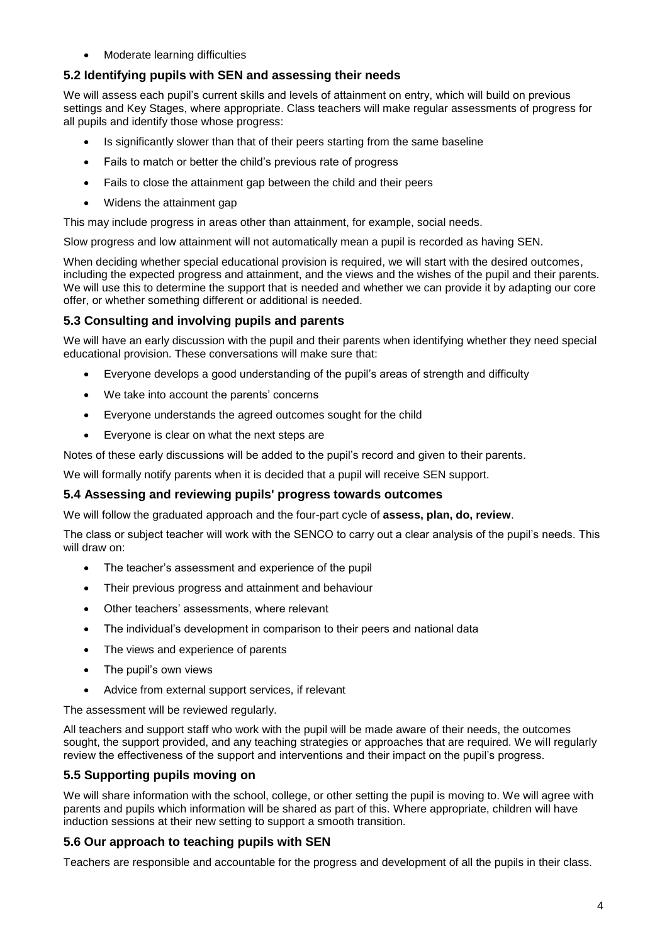Moderate learning difficulties

#### **5.2 Identifying pupils with SEN and assessing their needs**

We will assess each pupil's current skills and levels of attainment on entry, which will build on previous settings and Key Stages, where appropriate. Class teachers will make regular assessments of progress for all pupils and identify those whose progress:

- Is significantly slower than that of their peers starting from the same baseline
- Fails to match or better the child's previous rate of progress
- Fails to close the attainment gap between the child and their peers
- Widens the attainment gap

This may include progress in areas other than attainment, for example, social needs.

Slow progress and low attainment will not automatically mean a pupil is recorded as having SEN.

When deciding whether special educational provision is required, we will start with the desired outcomes, including the expected progress and attainment, and the views and the wishes of the pupil and their parents. We will use this to determine the support that is needed and whether we can provide it by adapting our core offer, or whether something different or additional is needed.

#### **5.3 Consulting and involving pupils and parents**

We will have an early discussion with the pupil and their parents when identifying whether they need special educational provision. These conversations will make sure that:

- Everyone develops a good understanding of the pupil's areas of strength and difficulty
- We take into account the parents' concerns
- Everyone understands the agreed outcomes sought for the child
- Everyone is clear on what the next steps are

Notes of these early discussions will be added to the pupil's record and given to their parents.

We will formally notify parents when it is decided that a pupil will receive SEN support.

#### **5.4 Assessing and reviewing pupils' progress towards outcomes**

We will follow the graduated approach and the four-part cycle of **assess, plan, do, review**.

The class or subject teacher will work with the SENCO to carry out a clear analysis of the pupil's needs. This will draw on:

- The teacher's assessment and experience of the pupil
- Their previous progress and attainment and behaviour
- Other teachers' assessments, where relevant
- The individual's development in comparison to their peers and national data
- The views and experience of parents
- The pupil's own views
- Advice from external support services, if relevant

The assessment will be reviewed regularly.

All teachers and support staff who work with the pupil will be made aware of their needs, the outcomes sought, the support provided, and any teaching strategies or approaches that are required. We will regularly review the effectiveness of the support and interventions and their impact on the pupil's progress.

#### **5.5 Supporting pupils moving on**

We will share information with the school, college, or other setting the pupil is moving to. We will agree with parents and pupils which information will be shared as part of this. Where appropriate, children will have induction sessions at their new setting to support a smooth transition.

#### **5.6 Our approach to teaching pupils with SEN**

Teachers are responsible and accountable for the progress and development of all the pupils in their class.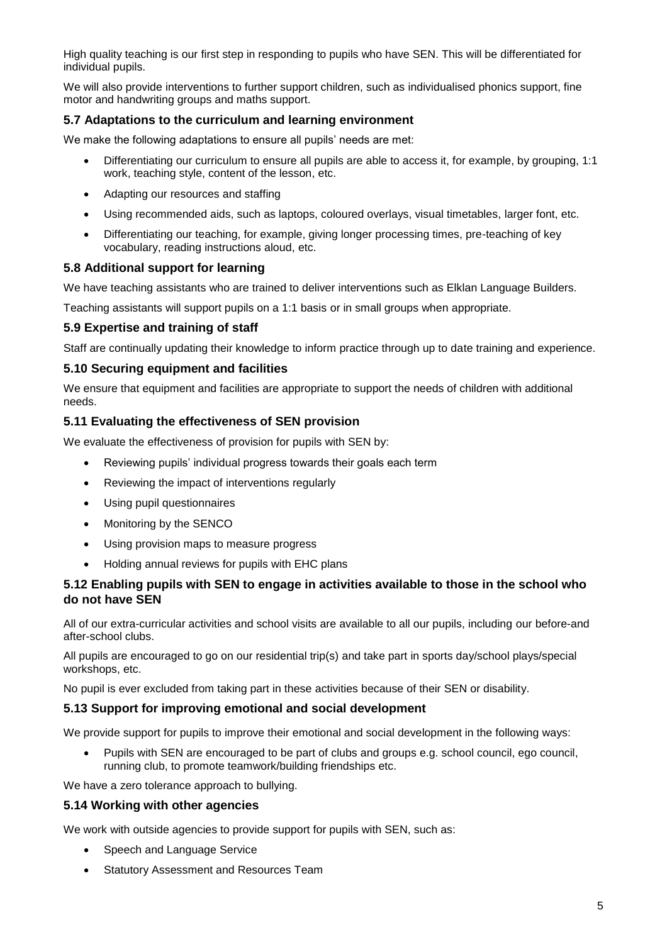High quality teaching is our first step in responding to pupils who have SEN. This will be differentiated for individual pupils.

We will also provide interventions to further support children, such as individualised phonics support, fine motor and handwriting groups and maths support.

#### **5.7 Adaptations to the curriculum and learning environment**

We make the following adaptations to ensure all pupils' needs are met:

- Differentiating our curriculum to ensure all pupils are able to access it, for example, by grouping, 1:1 work, teaching style, content of the lesson, etc.
- Adapting our resources and staffing
- Using recommended aids, such as laptops, coloured overlays, visual timetables, larger font, etc.
- Differentiating our teaching, for example, giving longer processing times, pre-teaching of key vocabulary, reading instructions aloud, etc.

#### **5.8 Additional support for learning**

We have teaching assistants who are trained to deliver interventions such as Elklan Language Builders.

Teaching assistants will support pupils on a 1:1 basis or in small groups when appropriate.

#### **5.9 Expertise and training of staff**

Staff are continually updating their knowledge to inform practice through up to date training and experience.

#### **5.10 Securing equipment and facilities**

We ensure that equipment and facilities are appropriate to support the needs of children with additional needs.

#### **5.11 Evaluating the effectiveness of SEN provision**

We evaluate the effectiveness of provision for pupils with SEN by:

- Reviewing pupils' individual progress towards their goals each term
- Reviewing the impact of interventions regularly
- Using pupil questionnaires
- Monitoring by the SENCO
- Using provision maps to measure progress
- Holding annual reviews for pupils with EHC plans

#### **5.12 Enabling pupils with SEN to engage in activities available to those in the school who do not have SEN**

All of our extra-curricular activities and school visits are available to all our pupils, including our before-and after-school clubs.

All pupils are encouraged to go on our residential trip(s) and take part in sports day/school plays/special workshops, etc.

No pupil is ever excluded from taking part in these activities because of their SEN or disability.

#### **5.13 Support for improving emotional and social development**

We provide support for pupils to improve their emotional and social development in the following ways:

 Pupils with SEN are encouraged to be part of clubs and groups e.g. school council, ego council, running club, to promote teamwork/building friendships etc.

We have a zero tolerance approach to bullying.

#### **5.14 Working with other agencies**

We work with outside agencies to provide support for pupils with SEN, such as:

- Speech and Language Service
- Statutory Assessment and Resources Team